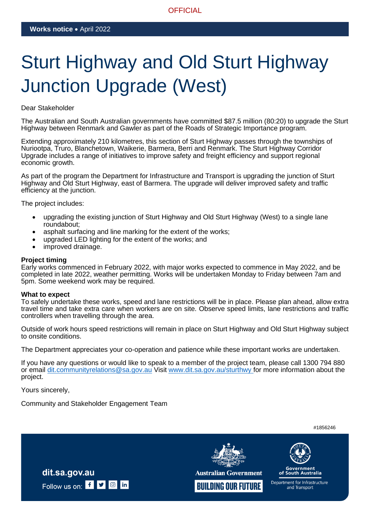## **OFFICIAL**

# Sturt Highway and Old Sturt Highway Junction Upgrade (West)

### Dear Stakeholder

The Australian and South Australian governments have committed \$87.5 million (80:20) to upgrade the Sturt Highway between Renmark and Gawler as part of the Roads of Strategic Importance program.

Extending approximately 210 kilometres, this section of Sturt Highway passes through the townships of Nuriootpa, Truro, Blanchetown, Waikerie, Barmera, Berri and Renmark. The Sturt Highway Corridor Upgrade includes a range of initiatives to improve safety and freight efficiency and support regional economic growth.

As part of the program the Department for Infrastructure and Transport is upgrading the junction of Sturt Highway and Old Sturt Highway, east of Barmera. The upgrade will deliver improved safety and traffic efficiency at the junction.

The project includes:

- upgrading the existing junction of Sturt Highway and Old Sturt Highway (West) to a single lane roundabout;
- asphalt surfacing and line marking for the extent of the works;
- upgraded LED lighting for the extent of the works; and
- improved drainage.

#### **Project timing**

Early works commenced in February 2022, with major works expected to commence in May 2022, and be completed in late 2022, weather permitting. Works will be undertaken Monday to Friday between 7am and 5pm. Some weekend work may be required.

#### **What to expect**

To safely undertake these works, speed and lane restrictions will be in place. Please plan ahead, allow extra travel time and take extra care when workers are on site. Observe speed limits, lane restrictions and traffic controllers when travelling through the area.

Outside of work hours speed restrictions will remain in place on Sturt Highway and Old Sturt Highway subject to onsite conditions.

The Department appreciates your co-operation and patience while these important works are undertaken.

If you have any questions or would like to speak to a member of the project team, please call 1300 794 880 or email [dit.communityrelations@sa.gov.au](mailto:dit.communityrelations@sa.gov.au) Visit [www.dit.sa.gov.au/sturthwy](http://www.dit.sa.gov.au/sturthwy) for more information about the project.

Yours sincerely,

Community and Stakeholder Engagement Team

#1856246



**Australian Government** 



**Government**<br>of South Australia Department for Infrastructure and Transport